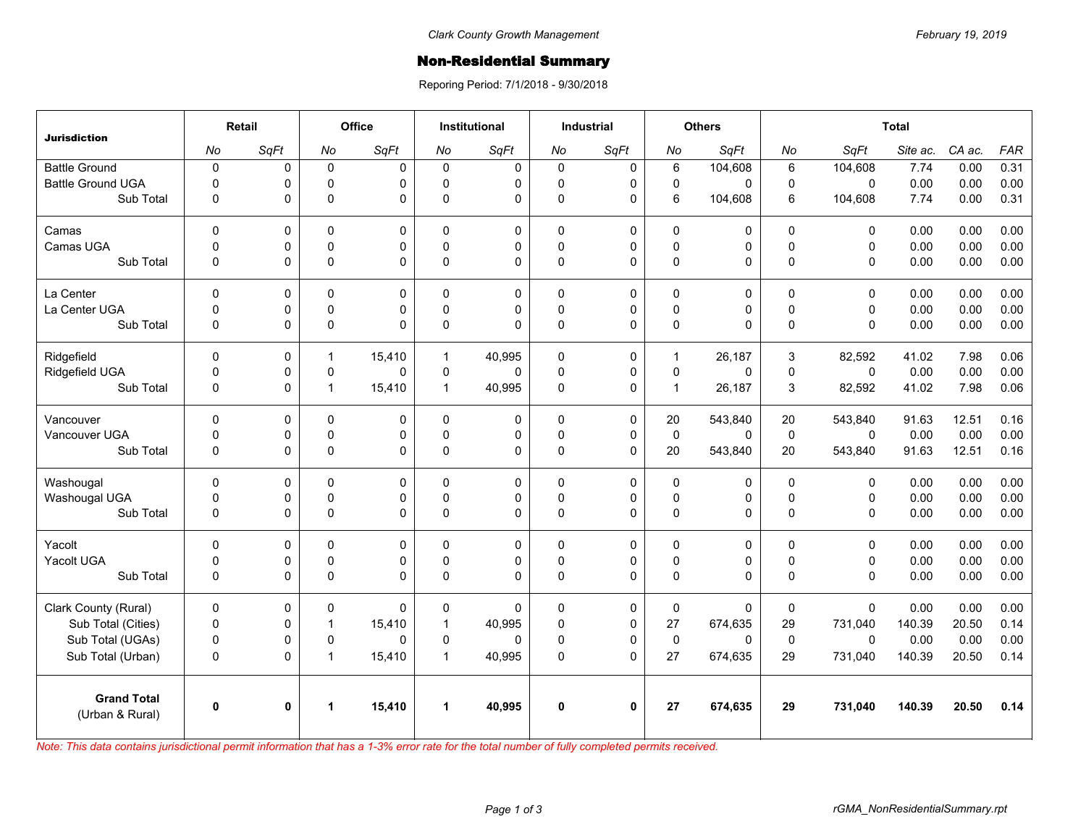## Non-Residential Summary

Reporing Period: 7/1/2018 - 9/30/2018

| <b>Jurisdiction</b>                   | Retail         |              | Office       |             | <b>Institutional</b> |          | <b>Industrial</b> |              | <b>Others</b> |          | <b>Total</b> |              |          |        |            |
|---------------------------------------|----------------|--------------|--------------|-------------|----------------------|----------|-------------------|--------------|---------------|----------|--------------|--------------|----------|--------|------------|
|                                       | No             | SqFt         | No           | SqFt        | No                   | SqFt     | No                | SqFt         | No            | SqFt     | No           | SqFt         | Site ac. | CA ac. | <b>FAR</b> |
| <b>Battle Ground</b>                  | $\pmb{0}$      | 0            | $\mathbf{0}$ | $\mathbf 0$ | $\Omega$             | 0        | $\mathbf 0$       | $\mathbf 0$  | 6             | 104,608  | 6            | 104,608      | 7.74     | 0.00   | 0.31       |
| <b>Battle Ground UGA</b>              | $\overline{0}$ | 0            | $\Omega$     | $\mathbf 0$ | $\Omega$             | 0        | 0                 | $\mathbf 0$  | 0             | 0        | $\Omega$     | $\mathbf{0}$ | 0.00     | 0.00   | 0.00       |
| Sub Total                             | $\mathbf 0$    | 0            | 0            | 0           | $\Omega$             | 0        | 0                 | 0            | 6             | 104,608  | 6            | 104,608      | 7.74     | 0.00   | 0.31       |
| Camas                                 | $\Omega$       | 0            | $\Omega$     | $\Omega$    | $\Omega$             | 0        | $\mathbf{0}$      | $\mathbf 0$  | 0             | 0        | $\Omega$     | $\Omega$     | 0.00     | 0.00   | 0.00       |
| Camas UGA                             | $\mathbf 0$    | 0            | 0            | $\mathbf 0$ | $\mathbf 0$          | 0        | 0                 | $\pmb{0}$    | $\pmb{0}$     | 0        | 0            | $\mathbf 0$  | 0.00     | 0.00   | 0.00       |
| Sub Total                             | $\mathbf 0$    | 0            | 0            | $\Omega$    | $\Omega$             | 0        | 0                 | $\mathbf 0$  | 0             | 0        | $\mathbf 0$  | $\mathbf 0$  | 0.00     | 0.00   | 0.00       |
| La Center                             | $\Omega$       | 0            | $\Omega$     | $\Omega$    | $\Omega$             | 0        | $\Omega$          | $\Omega$     | $\Omega$      | 0        | $\Omega$     | $\Omega$     | 0.00     | 0.00   | 0.00       |
| La Center UGA                         | 0              | 0            | 0            | 0           | $\Omega$             | 0        | 0                 | $\mathbf 0$  | 0             | 0        | $\Omega$     | 0            | 0.00     | 0.00   | 0.00       |
| Sub Total                             | $\overline{0}$ | 0            | $\Omega$     | $\Omega$    | $\Omega$             | 0        | $\Omega$          | $\Omega$     | 0             | $\Omega$ | $\Omega$     | $\Omega$     | 0.00     | 0.00   | 0.00       |
| Ridgefield                            | $\Omega$       | 0            | $\mathbf{1}$ | 15,410      | $\mathbf{1}$         | 40,995   | 0                 | $\mathbf 0$  | $\mathbf{1}$  | 26,187   | 3            | 82,592       | 41.02    | 7.98   | 0.06       |
| Ridgefield UGA                        | $\mathbf 0$    | 0            | 0            | $\Omega$    | $\Omega$             | 0        | 0                 | $\mathbf 0$  | $\mathbf 0$   | 0        | $\Omega$     | $\Omega$     | 0.00     | 0.00   | 0.00       |
| Sub Total                             | $\mathbf 0$    | 0            | $\mathbf{1}$ | 15,410      | $\mathbf{1}$         | 40,995   | 0                 | $\mathbf 0$  | $\mathbf{1}$  | 26,187   | 3            | 82,592       | 41.02    | 7.98   | 0.06       |
| Vancouver                             | $\Omega$       | 0            | $\Omega$     | $\mathbf 0$ | $\Omega$             | 0        | $\Omega$          | $\mathbf 0$  | 20            | 543,840  | 20           | 543,840      | 91.63    | 12.51  | 0.16       |
| Vancouver UGA                         | $\mathbf 0$    | 0            | 0            | $\pmb{0}$   | $\Omega$             | 0        | 0                 | $\pmb{0}$    | $\pmb{0}$     | 0        | $\mathbf 0$  | $\mathbf 0$  | 0.00     | 0.00   | 0.00       |
| Sub Total                             | $\Omega$       | 0            | 0            | $\Omega$    | $\Omega$             | $\Omega$ | $\Omega$          | $\mathbf 0$  | 20            | 543,840  | 20           | 543,840      | 91.63    | 12.51  | 0.16       |
| Washougal                             | $\Omega$       | 0            | $\Omega$     | $\Omega$    | $\Omega$             | 0        | $\Omega$          | $\mathbf 0$  | 0             | 0        | $\Omega$     | $\Omega$     | 0.00     | 0.00   | 0.00       |
| Washougal UGA                         | $\mathbf 0$    | 0            | 0            | $\pmb{0}$   | $\Omega$             | 0        | 0                 | $\pmb{0}$    | $\pmb{0}$     | 0        | $\mathbf 0$  | $\mathbf 0$  | 0.00     | 0.00   | 0.00       |
| Sub Total                             | $\overline{0}$ | 0            | 0            | $\Omega$    | $\Omega$             | 0        | 0                 | $\Omega$     | $\mathbf 0$   | 0        | $\mathbf 0$  | $\Omega$     | 0.00     | 0.00   | 0.00       |
| Yacolt                                | $\mathbf 0$    | 0            | 0            | $\mathbf 0$ | $\Omega$             | 0        | $\mathbf 0$       | $\mathbf 0$  | 0             | 0        | $\mathbf 0$  | $\mathbf 0$  | 0.00     | 0.00   | 0.00       |
| Yacolt UGA                            | $\mathbf{0}$   | 0            | 0            | 0           | $\Omega$             | 0        | 0                 | $\mathbf 0$  | 0             | 0        | $\Omega$     | 0            | 0.00     | 0.00   | 0.00       |
| Sub Total                             | $\pmb{0}$      | 0            | 0            | $\Omega$    | $\Omega$             | 0        | 0                 | $\mathbf 0$  | 0             | 0        | $\mathbf 0$  | $\Omega$     | 0.00     | 0.00   | 0.00       |
| Clark County (Rural)                  | $\mathbf 0$    | 0            | 0            | $\Omega$    | 0                    | 0        | 0                 | 0            | $\mathbf 0$   | 0        | $\mathbf 0$  | $\Omega$     | 0.00     | 0.00   | 0.00       |
| Sub Total (Cities)                    | $\mathbf 0$    | 0            | $\mathbf{1}$ | 15,410      | $\mathbf{1}$         | 40,995   | $\Omega$          | $\pmb{0}$    | 27            | 674,635  | 29           | 731,040      | 140.39   | 20.50  | 0.14       |
| Sub Total (UGAs)                      | $\mathbf 0$    | 0            | 0            | $\Omega$    | $\Omega$             | 0        | 0                 | $\mathbf 0$  | $\pmb{0}$     | $\Omega$ | $\mathbf 0$  | $\Omega$     | 0.00     | 0.00   | 0.00       |
| Sub Total (Urban)                     | $\mathbf 0$    | 0            | $\mathbf{1}$ | 15,410      | $\mathbf{1}$         | 40,995   | 0                 | $\Omega$     | 27            | 674,635  | 29           | 731,040      | 140.39   | 20.50  | 0.14       |
| <b>Grand Total</b><br>(Urban & Rural) | $\mathbf 0$    | $\mathbf{0}$ | 1            | 15,410      | 1                    | 40,995   | 0                 | $\mathbf{0}$ | 27            | 674,635  | 29           | 731,040      | 140.39   | 20.50  | 0.14       |

*Note: This data contains jurisdictional permit information that has a 1-3% error rate for the total number of fully completed permits received.*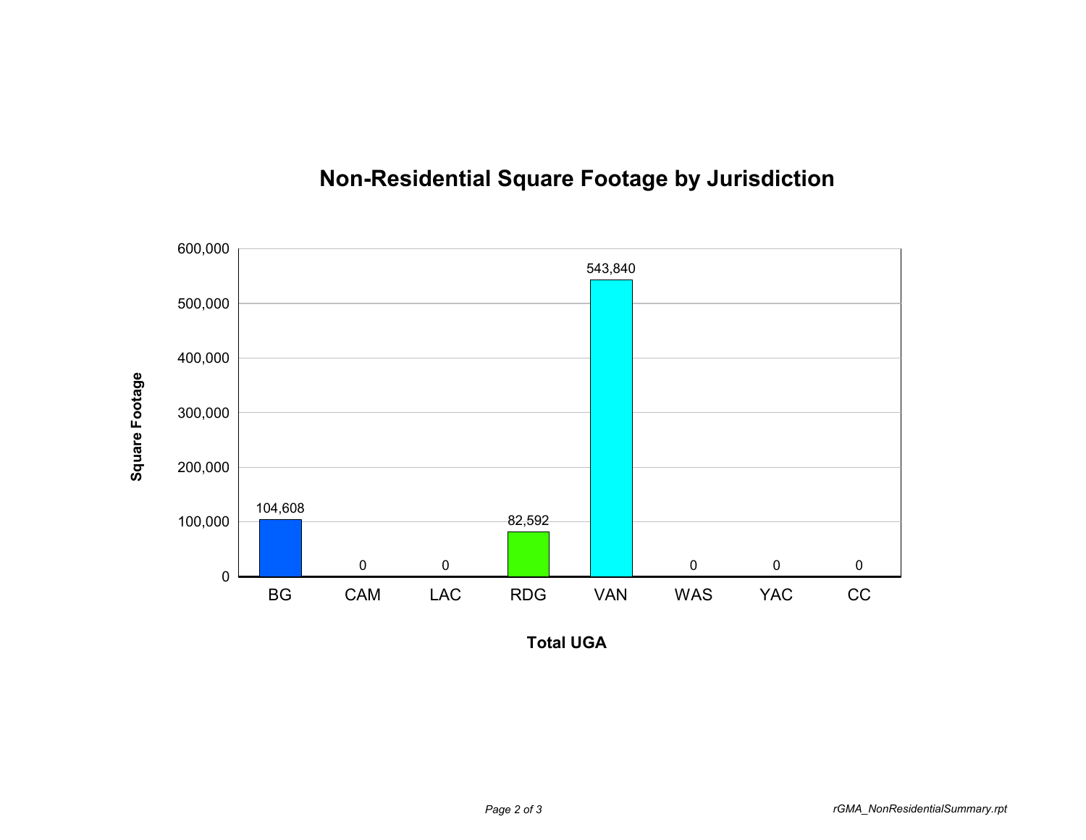

## **Non-Residential Square Footage by Jurisdiction**

**Total UGA**